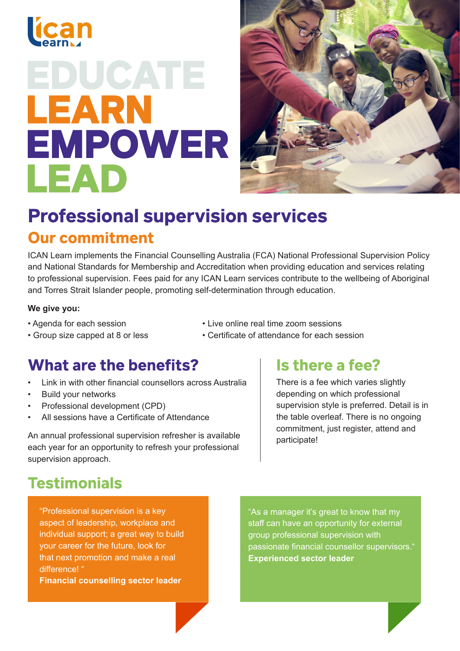

# EDUCATE LEARN **EMPOWER** LEAD



## **Professional supervision services Our commitment**

ICAN Learn implements the Financial Counselling Australia (FCA) National Professional Supervision Policy and National Standards for Membership and Accreditation when providing education and services relating to professional supervision. Fees paid for any ICAN Learn services contribute to the wellbeing of Aboriginal and Torres Strait Islander people, promoting self-determination through education.

#### **We give you:**

- Agenda for each session
- Live online real time zoom sessions • Certificate of attendance for each session
- Group size capped at 8 or less
	-

#### What are the benefits?

- Link in with other financial counsellors across Australia
- Build your networks
- Professional development (CPD)
- All sessions have a Certificate of Attendance

An annual professional supervision refresher is available each year for an opportunity to refresh your professional supervision approach.

#### Is there a fee?

There is a fee which varies slightly depending on which professional supervision style is preferred. Detail is in the table overleaf. There is no ongoing commitment, just register, attend and participate!

### **Testimonials**

"Professional supervision is a key aspect of leadership, workplace and individual support; a great way to build your career for the future, look for that next promotion and make a real difference! "

**Financial counselling sector leader**

"As a manager it's great to know that my staff can have an opportunity for external group professional supervision with passionate financial counsellor supervisors." **Experienced sector leader**